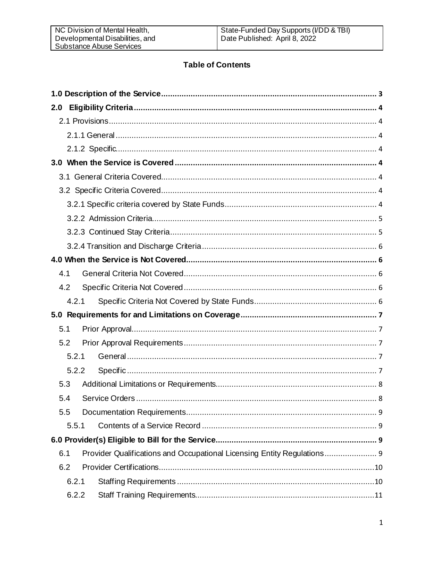# **Table of Contents**

| 2.0   |                                                                         |  |  |  |
|-------|-------------------------------------------------------------------------|--|--|--|
|       |                                                                         |  |  |  |
|       |                                                                         |  |  |  |
|       |                                                                         |  |  |  |
|       |                                                                         |  |  |  |
|       |                                                                         |  |  |  |
|       |                                                                         |  |  |  |
|       |                                                                         |  |  |  |
|       |                                                                         |  |  |  |
|       |                                                                         |  |  |  |
|       |                                                                         |  |  |  |
|       |                                                                         |  |  |  |
| 4.1   |                                                                         |  |  |  |
| 4.2   |                                                                         |  |  |  |
| 4.2.1 |                                                                         |  |  |  |
|       |                                                                         |  |  |  |
| 5.1   |                                                                         |  |  |  |
| 5.2   |                                                                         |  |  |  |
| 5.2.1 |                                                                         |  |  |  |
| 5.2.2 |                                                                         |  |  |  |
| 5.3   |                                                                         |  |  |  |
| 5.4   |                                                                         |  |  |  |
| 5.5   |                                                                         |  |  |  |
| 5.5.1 |                                                                         |  |  |  |
|       |                                                                         |  |  |  |
| 6.1   | Provider Qualifications and Occupational Licensing Entity Regulations 9 |  |  |  |
| 6.2   |                                                                         |  |  |  |
| 6.2.1 |                                                                         |  |  |  |
| 6.2.2 |                                                                         |  |  |  |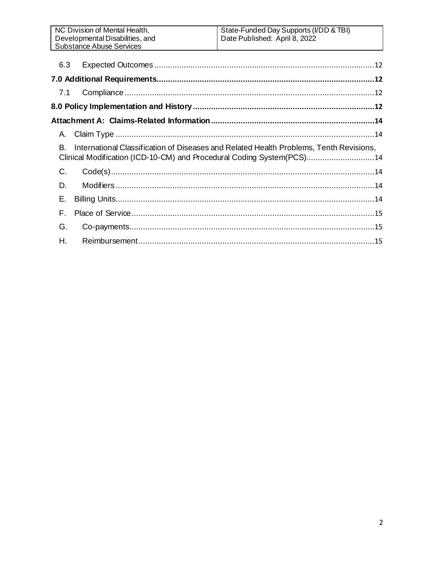| 6.3                                                                                                                                                                   |  |  |  |  |  |
|-----------------------------------------------------------------------------------------------------------------------------------------------------------------------|--|--|--|--|--|
|                                                                                                                                                                       |  |  |  |  |  |
| 7.1                                                                                                                                                                   |  |  |  |  |  |
|                                                                                                                                                                       |  |  |  |  |  |
|                                                                                                                                                                       |  |  |  |  |  |
| A.                                                                                                                                                                    |  |  |  |  |  |
| B.<br>International Classification of Diseases and Related Health Problems, Tenth Revisions,<br>Clinical Modification (ICD-10-CM) and Procedural Coding System(PCS)14 |  |  |  |  |  |
| C.                                                                                                                                                                    |  |  |  |  |  |
| D.                                                                                                                                                                    |  |  |  |  |  |
| Е.                                                                                                                                                                    |  |  |  |  |  |
| F.                                                                                                                                                                    |  |  |  |  |  |
| G.                                                                                                                                                                    |  |  |  |  |  |
| Η.                                                                                                                                                                    |  |  |  |  |  |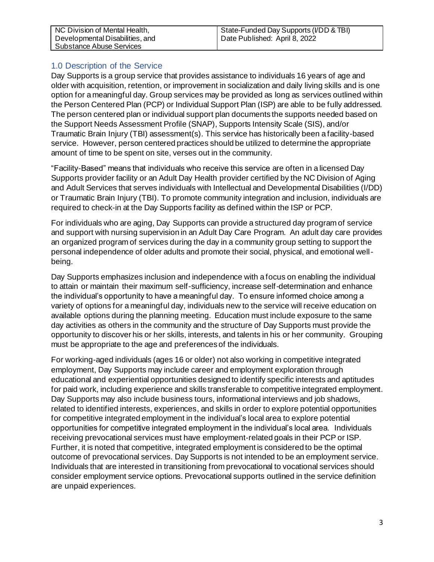| NC Division of Mental Health,<br>Developmental Disabilities, and<br>Substance Abuse Services | State-Funded Day Supports (I/DD & TBI)<br>Date Published: April 8, 2022 |
|----------------------------------------------------------------------------------------------|-------------------------------------------------------------------------|
|----------------------------------------------------------------------------------------------|-------------------------------------------------------------------------|

## <span id="page-2-0"></span>1.0 Description of the Service

Day Supports is a group service that provides assistance to individuals 16 years of age and older with acquisition, retention, or improvement in socialization and daily living skills and is one option for a meaningful day. Group services may be provided as long as services outlined within the Person Centered Plan (PCP) or Individual Support Plan (ISP) are able to be fully addressed. The person centered plan or individual support plan documents the supports needed based on the Support Needs Assessment Profile (SNAP), Supports Intensity Scale (SIS), and/or Traumatic Brain Injury (TBI) assessment(s). This service has historically been a facility-based service. However, person centered practices should be utilized to determine the appropriate amount of time to be spent on site, verses out in the community.

"Facility-Based" means that individuals who receive this service are often in a licensed Day Supports provider facility or an Adult Day Health provider certified by the NC Division of Aging and Adult Services that serves individuals with Intellectual and Developmental Disabilities (I/DD) or Traumatic Brain Injury (TBI). To promote community integration and inclusion, individuals are required to check-in at the Day Supports facility as defined within the ISP or PCP.

For individuals who are aging, Day Supports can provide a structured day program of service and support with nursing supervision in an Adult Day Care Program. An adult day care provides an organized program of services during the day in a community group setting to support the personal independence of older adults and promote their social, physical, and emotional wellbeing.

Day Supports emphasizes inclusion and independence with a focus on enabling the individual to attain or maintain their maximum self-sufficiency, increase self-determination and enhance the individual's opportunity to have a meaningful day. To ensure informed choice among a variety of options for a meaningful day, individuals new to the service will receive education on available options during the planning meeting. Education must include exposure to the same day activities as others in the community and the structure of Day Supports must provide the opportunity to discover his or her skills, interests, and talents in his or her community. Grouping must be appropriate to the age and preferences of the individuals.

For working-aged individuals (ages 16 or older) not also working in competitive integrated employment, Day Supports may include career and employment exploration through educational and experiential opportunities designed to identify specific interests and aptitudes for paid work, including experience and skills transferable to competitive integrated employment. Day Supports may also include business tours, informational interviews and job shadows, related to identified interests, experiences, and skills in order to explore potential opportunities for competitive integrated employment in the individual's local area to explore potential opportunities for competitive integrated employment in the individual's local area. Individuals receiving prevocational services must have employment-related goals in their PCP or ISP. Further, it is noted that competitive, integrated employment is considered to be the optimal outcome of prevocational services. Day Supports is not intended to be an employment service. Individuals that are interested in transitioning from prevocational to vocational services should consider employment service options. Prevocational supports outlined in the service definition are unpaid experiences.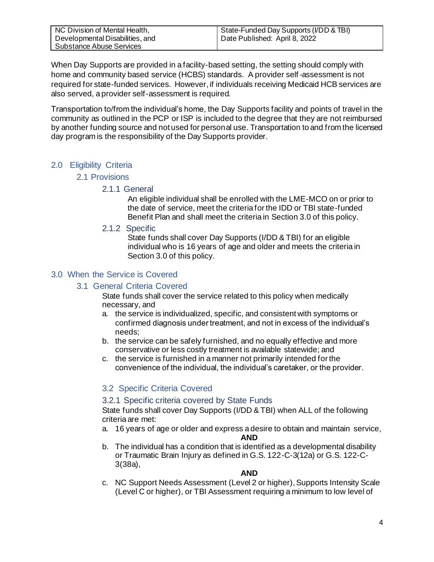| NC Division of Mental Health,   | State-Funded Day Supports (I/DD & TBI) |
|---------------------------------|----------------------------------------|
| Developmental Disabilities, and | Date Published: April 8, 2022          |
| Substance Abuse Services        |                                        |

When Day Supports are provided in a facility-based setting, the setting should comply with home and community based service (HCBS) standards. A provider self-assessment is not required for state-funded services. However, if individuals receiving Medicaid HCB services are also served, a provider self-assessment is required.

Transportation to/from the individual's home, the Day Supports facility and points of travel in the community as outlined in the PCP or ISP is included to the degree that they are not reimbursed by another funding source and not used for personal use. Transportation to and from the licensed day program is the responsibility of the Day Supports provider.

## <span id="page-3-2"></span><span id="page-3-1"></span><span id="page-3-0"></span>2.0 Eligibility Criteria

## 2.1 Provisions

## 2.1.1 General

An eligible individual shall be enrolled with the LME-MCO on or prior to the date of service, meet the criteria for the IDD or TBI state-funded Benefit Plan and shall meet the criteria in Section 3.0 of this policy.

#### 2.1.2 Specific

State funds shall cover Day Supports (I/DD & TBI) for an eligible individual who is 16 years of age and older and meets the criteria in Section 3.0 of this policy.

## <span id="page-3-5"></span><span id="page-3-4"></span><span id="page-3-3"></span>3.0 When the Service is Covered

## 3.1 General Criteria Covered

State funds shall cover the service related to this policy when medically necessary, and

- a. the service is individualized, specific, and consistent with symptoms or confirmed diagnosis under treatment, and not in excess of the individual's needs;
- b. the service can be safely furnished, and no equally effective and more conservative or less costly treatment is available statewide; and
- c. the service is furnished in a manner not primarily intended for the convenience of the individual, the individual's caretaker, or the provider.

## <span id="page-3-6"></span>3.2 Specific Criteria Covered

#### <span id="page-3-7"></span>3.2.1 Specific criteria covered by State Funds

State funds shall cover Day Supports (I/DD & TBI) when ALL of the following criteria are met:

a. 16 years of age or older and express a desire to obtain and maintain service,

#### **AND**

b. The individual has a condition that is identified as a developmental disability or Traumatic Brain Injury as defined in G.S. 122-C-3(12a) or G.S. 122-C-3(38a),

#### **AND**

c. NC Support Needs Assessment (Level 2 or higher), Supports Intensity Scale (Level C or higher), or TBI Assessment requiring a minimum to low level of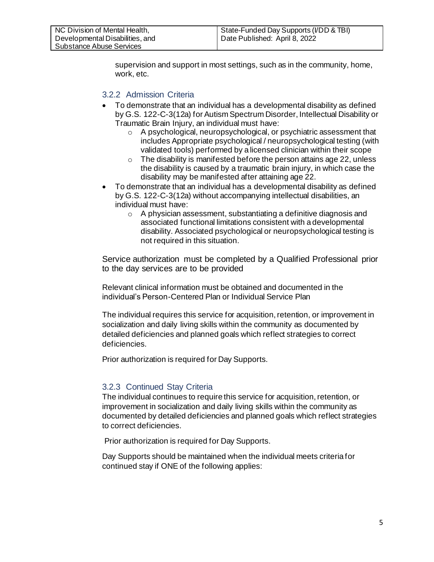supervision and support in most settings, such as in the community, home, work, etc.

## <span id="page-4-0"></span>3.2.2 Admission Criteria

- To demonstrate that an individual has a developmental disability as defined by G.S. 122-C-3(12a) for Autism Spectrum Disorder, Intellectual Disability or Traumatic Brain Injury, an individual must have:
	- o A psychological, neuropsychological, or psychiatric assessment that includes Appropriate psychological / neuropsychological testing (with validated tools) performed by a licensed clinician within their scope
	- $\circ$  The disability is manifested before the person attains age 22, unless the disability is caused by a traumatic brain injury, in which case the disability may be manifested after attaining age 22.
- To demonstrate that an individual has a developmental disability as defined by G.S. 122-C-3(12a) without accompanying intellectual disabilities, an individual must have:
	- o A physician assessment, substantiating a definitive diagnosis and associated functional limitations consistent with a developmental disability. Associated psychological or neuropsychological testing is not required in this situation.

Service authorization must be completed by a Qualified Professional prior to the day services are to be provided

Relevant clinical information must be obtained and documented in the individual's Person-Centered Plan or Individual Service Plan

The individual requires this service for acquisition, retention, or improvement in socialization and daily living skills within the community as documented by detailed deficiencies and planned goals which reflect strategies to correct deficiencies.

Prior authorization is required for Day Supports.

## <span id="page-4-1"></span>3.2.3 Continued Stay Criteria

The individual continues to require this service for acquisition, retention, or improvement in socialization and daily living skills within the community as documented by detailed deficiencies and planned goals which reflect strategies to correct deficiencies.

Prior authorization is required for Day Supports.

Day Supports should be maintained when the individual meets criteria for continued stay if ONE of the following applies: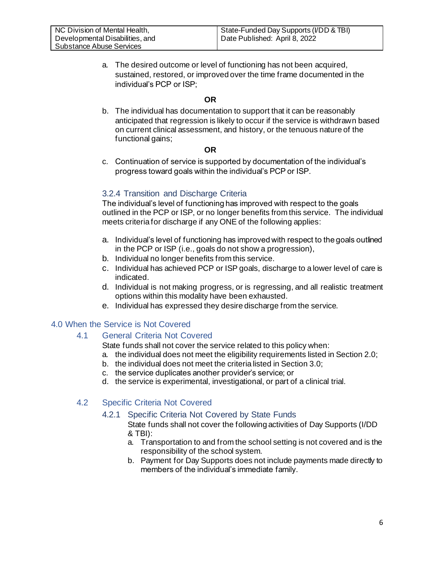a. The desired outcome or level of functioning has not been acquired, sustained, restored, or improved over the time frame documented in the individual's PCP or ISP;

#### **OR**

b. The individual has documentation to support that it can be reasonably anticipated that regression is likely to occur if the service is withdrawn based on current clinical assessment, and history, or the tenuous nature of the functional gains;

#### **OR**

c. Continuation of service is supported by documentation of the individual's progress toward goals within the individual's PCP or ISP.

## <span id="page-5-0"></span>3.2.4 Transition and Discharge Criteria

The individual's level of functioning has improved with respect to the goals outlined in the PCP or ISP, or no longer benefits from this service. The individual meets criteria for discharge if any ONE of the following applies:

- <span id="page-5-1"></span>a. Individual's level of functioning has improved with respect to the goals outlined in the PCP or ISP (i.e., goals do not show a progression),
- b. Individual no longer benefits from this service.
- c. Individual has achieved PCP or ISP goals, discharge to a lower level of care is indicated.
- d. Individual is not making progress, or is regressing, and all realistic treatment options within this modality have been exhausted.
- e. Individual has expressed they desire discharge from the service.

## <span id="page-5-2"></span>4.0 When the Service is Not Covered

## 4.1 General Criteria Not Covered

State funds shall not cover the service related to this policy when:

- a. the individual does not meet the eligibility requirements listed in Section 2.0;
- b. the individual does not meet the criteria listed in Section 3.0;
- c. the service duplicates another provider's service; or
- d. the service is experimental, investigational, or part of a clinical trial.

## <span id="page-5-4"></span><span id="page-5-3"></span>4.2 Specific Criteria Not Covered

## 4.2.1 Specific Criteria Not Covered by State Funds

State funds shall not cover the following activities of Day Supports (I/DD & TBI):

- a. Transportation to and from the school setting is not covered and is the responsibility of the school system.
- b. Payment for Day Supports does not include payments made directly to members of the individual's immediate family.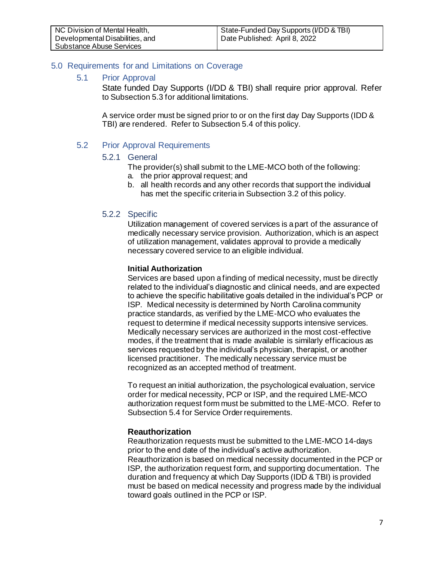## <span id="page-6-0"></span>5.0 Requirements for and Limitations on Coverage

#### <span id="page-6-1"></span>5.1 Prior Approval

State funded Day Supports (I/DD & TBI) shall require prior approval. Refer to Subsection 5.3 for additional limitations.

A service order must be signed prior to or on the first day Day Supports (IDD & TBI) are rendered. Refer to Subsection 5.4 of this policy.

#### <span id="page-6-3"></span><span id="page-6-2"></span>5.2 Prior Approval Requirements

#### 5.2.1 General

The provider(s) shall submit to the LME-MCO both of the following:

- a. the prior approval request; and
- b. all health records and any other records that support the individual has met the specific criteria in Subsection 3.2 of this policy.

#### <span id="page-6-4"></span>5.2.2 Specific

Utilization management of covered services is a part of the assurance of medically necessary service provision. Authorization, which is an aspect of utilization management, validates approval to provide a medically necessary covered service to an eligible individual.

#### **Initial Authorization**

Services are based upon a finding of medical necessity, must be directly related to the individual's diagnostic and clinical needs, and are expected to achieve the specific habilitative goals detailed in the individual's PCP or ISP. Medical necessity is determined by North Carolina community practice standards, as verified by the LME-MCO who evaluates the request to determine if medical necessity supports intensive services. Medically necessary services are authorized in the most cost-effective modes, if the treatment that is made available is similarly efficacious as services requested by the individual's physician, therapist, or another licensed practitioner. The medically necessary service must be recognized as an accepted method of treatment.

To request an initial authorization, the psychological evaluation, service order for medical necessity, PCP or ISP, and the required LME-MCO authorization request form must be submitted to the LME-MCO. Refer to Subsection 5.4 for Service Order requirements.

## **Reauthorization**

Reauthorization requests must be submitted to the LME-MCO 14-days prior to the end date of the individual's active authorization. Reauthorization is based on medical necessity documented in the PCP or ISP, the authorization request form, and supporting documentation. The duration and frequency at which Day Supports (IDD & TBI) is provided must be based on medical necessity and progress made by the individual toward goals outlined in the PCP or ISP.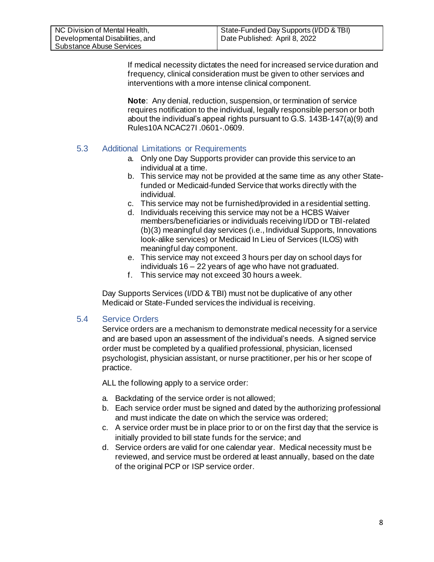If medical necessity dictates the need for increased service duration and frequency, clinical consideration must be given to other services and interventions with a more intense clinical component.

**Note**: Any denial, reduction, suspension, or termination of service requires notification to the individual, legally responsible person or both about the individual's appeal rights pursuant to G.S. 143B-147(a)(9) and Rules10A NCAC27I .0601-.0609.

## <span id="page-7-0"></span>5.3 Additional Limitations or Requirements

- a. Only one Day Supports provider can provide this service to an individual at a time.
- b. This service may not be provided at the same time as any other Statefunded or Medicaid-funded Service that works directly with the individual.
- c. This service may not be furnished/provided in a residential setting.
- d. Individuals receiving this service may not be a HCBS Waiver members/beneficiaries or individuals receiving I/DD or TBI-related (b)(3) meaningful day services (i.e., Individual Supports, Innovations look-alike services) or Medicaid In Lieu of Services (ILOS) with meaningful day component.
- e. This service may not exceed 3 hours per day on school days for individuals 16 – 22 years of age who have not graduated.
- f. This service may not exceed 30 hours a week.

Day Supports Services (I/DD & TBI) must not be duplicative of any other Medicaid or State-Funded services the individual is receiving.

## <span id="page-7-1"></span>5.4 Service Orders

Service orders are a mechanism to demonstrate medical necessity for a service and are based upon an assessment of the individual's needs. A signed service order must be completed by a qualified professional, physician, licensed psychologist, physician assistant, or nurse practitioner, per his or her scope of practice.

ALL the following apply to a service order:

- a. Backdating of the service order is not allowed;
- b. Each service order must be signed and dated by the authorizing professional and must indicate the date on which the service was ordered;
- c. A service order must be in place prior to or on the first day that the service is initially provided to bill state funds for the service; and
- d. Service orders are valid for one calendar year. Medical necessity must be reviewed, and service must be ordered at least annually, based on the date of the original PCP or ISP service order.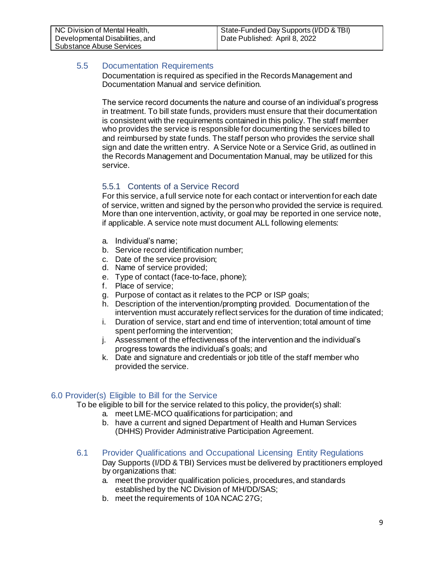## <span id="page-8-0"></span>5.5 Documentation Requirements

Documentation is required as specified in the Records Management and Documentation Manual and service definition.

The service record documents the nature and course of an individual's progress in treatment. To bill state funds, providers must ensure that their documentation is consistent with the requirements contained in this policy. The staff member who provides the service is responsible for documenting the services billed to and reimbursed by state funds. The staff person who provides the service shall sign and date the written entry. A Service Note or a Service Grid, as outlined in the Records Management and Documentation Manual, may be utilized for this service.

## <span id="page-8-1"></span>5.5.1 Contents of a Service Record

For this service, a full service note for each contact or intervention for each date of service, written and signed by the person who provided the service is required. More than one intervention, activity, or goal may be reported in one service note, if applicable. A service note must document ALL following elements:

- a. Individual's name;
- b. Service record identification number;
- c. Date of the service provision;
- d. Name of service provided;
- e. Type of contact (face-to-face, phone);
- f. Place of service;
- g. Purpose of contact as it relates to the PCP or ISP goals;
- h. Description of the intervention/prompting provided. Documentation of the intervention must accurately reflect services for the duration of time indicated;
- i. Duration of service, start and end time of intervention; total amount of time spent performing the intervention;
- j. Assessment of the effectiveness of the intervention and the individual's progress towards the individual's goals; and
- k. Date and signature and credentials or job title of the staff member who provided the service.

## <span id="page-8-2"></span>6.0 Provider(s) Eligible to Bill for the Service

To be eligible to bill for the service related to this policy, the provider(s) shall:

- a. meet LME-MCO qualifications for participation; and
- b. have a current and signed Department of Health and Human Services (DHHS) Provider Administrative Participation Agreement.
- <span id="page-8-3"></span>6.1 Provider Qualifications and Occupational Licensing Entity Regulations Day Supports (I/DD & TBI) Services must be delivered by practitioners employed by organizations that:
	- a. meet the provider qualification policies, procedures, and standards established by the NC Division of MH/DD/SAS;
	- b. meet the requirements of 10A NCAC 27G;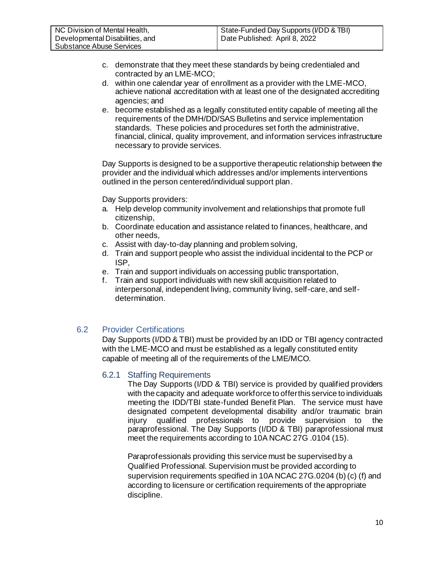- c. demonstrate that they meet these standards by being credentialed and contracted by an LME-MCO;
- d. within one calendar year of enrollment as a provider with the LME-MCO, achieve national accreditation with at least one of the designated accrediting agencies; and
- e. become established as a legally constituted entity capable of meeting all the requirements of the DMH/DD/SAS Bulletins and service implementation standards. These policies and procedures set forth the administrative, financial, clinical, quality improvement, and information services infrastructure necessary to provide services.

Day Supports is designed to be a supportive therapeutic relationship between the provider and the individual which addresses and/or implements interventions outlined in the person centered/individual support plan.

Day Supports providers:

- a. Help develop community involvement and relationships that promote full citizenship,
- b. Coordinate education and assistance related to finances, healthcare, and other needs,
- c. Assist with day-to-day planning and problem solving,
- d. Train and support people who assist the individual incidental to the PCP or ISP,
- e. Train and support individuals on accessing public transportation,
- f. Train and support individuals with new skill acquisition related to interpersonal, independent living, community living, self-care, and selfdetermination.

## <span id="page-9-1"></span><span id="page-9-0"></span>6.2 Provider Certifications

Day Supports (I/DD & TBI) must be provided by an IDD or TBI agency contracted with the LME-MCO and must be established as a legally constituted entity capable of meeting all of the requirements of the LME/MCO.

#### 6.2.1 Staffing Requirements

The Day Supports (I/DD & TBI) service is provided by qualified providers with the capacity and adequate workforce to offer this service to individuals meeting the IDD/TBI state-funded Benefit Plan. The service must have designated competent developmental disability and/or traumatic brain<br>injury qualified professionals to provide supervision to the injury qualified professionals to provide supervision to the paraprofessional. The Day Supports (I/DD & TBI) paraprofessional must meet the requirements according to 10A NCAC 27G .0104 (15).

Paraprofessionals providing this service must be supervised by a Qualified Professional. Supervision must be provided according to supervision requirements specified in 10A NCAC 27G.0204 (b) (c) (f) and according to licensure or certification requirements of the appropriate discipline.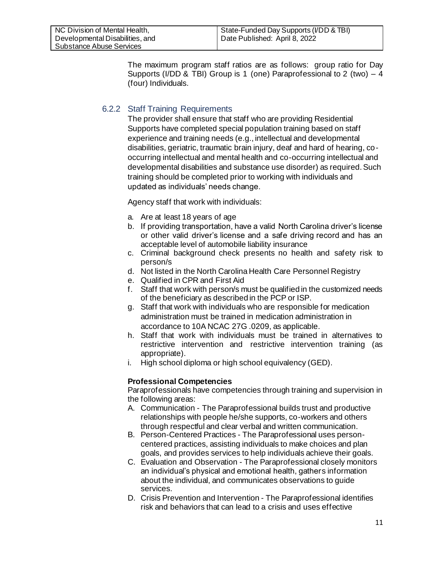The maximum program staff ratios are as follows: group ratio for Day Supports (I/DD & TBI) Group is 1 (one) Paraprofessional to 2 (two) – 4 (four) Individuals.

## <span id="page-10-0"></span>6.2.2 Staff Training Requirements

The provider shall ensure that staff who are providing Residential Supports have completed special population training based on staff experience and training needs (e.g., intellectual and developmental disabilities, geriatric, traumatic brain injury, deaf and hard of hearing, cooccurring intellectual and mental health and co-occurring intellectual and developmental disabilities and substance use disorder) as required. Such training should be completed prior to working with individuals and updated as individuals' needs change.

Agency staff that work with individuals:

- a. Are at least 18 years of age
- b. If providing transportation, have a valid North Carolina driver's license or other valid driver's license and a safe driving record and has an acceptable level of automobile liability insurance
- c. Criminal background check presents no health and safety risk to person/s
- d. Not listed in the North Carolina Health Care Personnel Registry
- e. Qualified in CPR and First Aid
- f. Staff that work with person/s must be qualified in the customized needs of the beneficiary as described in the PCP or ISP.
- g. Staff that work with individuals who are responsible for medication administration must be trained in medication administration in accordance to 10A NCAC 27G .0209, as applicable.
- h. Staff that work with individuals must be trained in alternatives to restrictive intervention and restrictive intervention training (as appropriate).
- i. High school diploma or high school equivalency (GED).

## **Professional Competencies**

Paraprofessionals have competencies through training and supervision in the following areas:

- A. Communication The Paraprofessional builds trust and productive relationships with people he/she supports, co-workers and others through respectful and clear verbal and written communication.
- B. Person-Centered Practices The Paraprofessional uses personcentered practices, assisting individuals to make choices and plan goals, and provides services to help individuals achieve their goals.
- C. Evaluation and Observation The Paraprofessional closely monitors an individual's physical and emotional health, gathers information about the individual, and communicates observations to guide services.
- D. Crisis Prevention and Intervention The Paraprofessional identifies risk and behaviors that can lead to a crisis and uses effective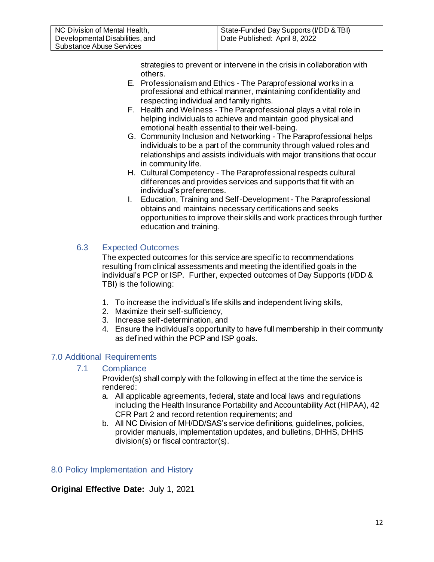strategies to prevent or intervene in the crisis in collaboration with others.

- E. Professionalism and Ethics The Paraprofessional works in a professional and ethical manner, maintaining confidentiality and respecting individual and family rights.
- F. Health and Wellness The Paraprofessional plays a vital role in helping individuals to achieve and maintain good physical and emotional health essential to their well-being.
- G. Community Inclusion and Networking The Paraprofessional helps individuals to be a part of the community through valued roles and relationships and assists individuals with major transitions that occur in community life.
- H. Cultural Competency The Paraprofessional respects cultural differences and provides services and supports that fit with an individual's preferences.
- I. Education, Training and Self-Development The Paraprofessional obtains and maintains necessary certifications and seeks opportunities to improve their skills and work practices through further education and training.

## <span id="page-11-0"></span>6.3 Expected Outcomes

The expected outcomes for this service are specific to recommendations resulting from clinical assessments and meeting the identified goals in the individual's PCP or ISP. Further, expected outcomes of Day Supports (I/DD & TBI) is the following:

- <span id="page-11-1"></span>1. To increase the individual's life skills and independent living skills,
- 2. Maximize their self-sufficiency,
- 3. Increase self-determination, and
- 4. Ensure the individual's opportunity to have full membership in their community as defined within the PCP and ISP goals.

## <span id="page-11-2"></span>7.0 Additional Requirements

#### 7.1 Compliance

Provider(s) shall comply with the following in effect at the time the service is rendered:

- a. All applicable agreements, federal, state and local laws and regulations including the Health Insurance Portability and Accountability Act (HIPAA), 42 CFR Part 2 and record retention requirements; and
- b. All NC Division of MH/DD/SAS's service definitions, guidelines, policies, provider manuals, implementation updates, and bulletins, DHHS, DHHS division(s) or fiscal contractor(s).

## <span id="page-11-3"></span>8.0 Policy Implementation and History

## **Original Effective Date:** July 1, 2021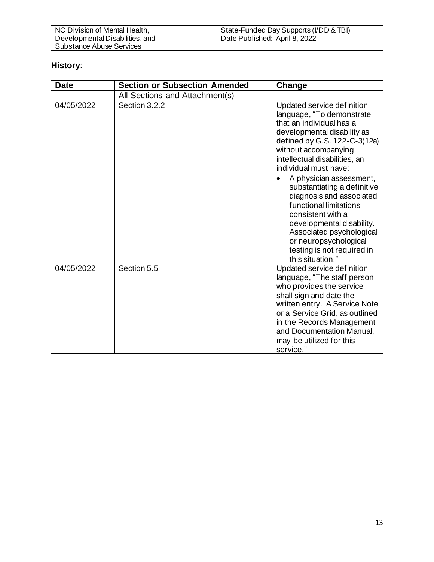# **History**:

<span id="page-12-0"></span>

| <b>Date</b> | <b>Section or Subsection Amended</b> | Change                                                                                                                                                                                                                                                                                                                                                                                                                                                                                                        |
|-------------|--------------------------------------|---------------------------------------------------------------------------------------------------------------------------------------------------------------------------------------------------------------------------------------------------------------------------------------------------------------------------------------------------------------------------------------------------------------------------------------------------------------------------------------------------------------|
|             | All Sections and Attachment(s)       |                                                                                                                                                                                                                                                                                                                                                                                                                                                                                                               |
| 04/05/2022  | Section 3.2.2                        | Updated service definition<br>language, "To demonstrate<br>that an individual has a<br>developmental disability as<br>defined by G.S. 122-C-3(12a)<br>without accompanying<br>intellectual disabilities, an<br>individual must have:<br>A physician assessment,<br>substantiating a definitive<br>diagnosis and associated<br>functional limitations<br>consistent with a<br>developmental disability.<br>Associated psychological<br>or neuropsychological<br>testing is not required in<br>this situation." |
| 04/05/2022  | Section 5.5                          | Updated service definition<br>language, "The staff person<br>who provides the service<br>shall sign and date the<br>written entry. A Service Note<br>or a Service Grid, as outlined<br>in the Records Management<br>and Documentation Manual,<br>may be utilized for this<br>service."                                                                                                                                                                                                                        |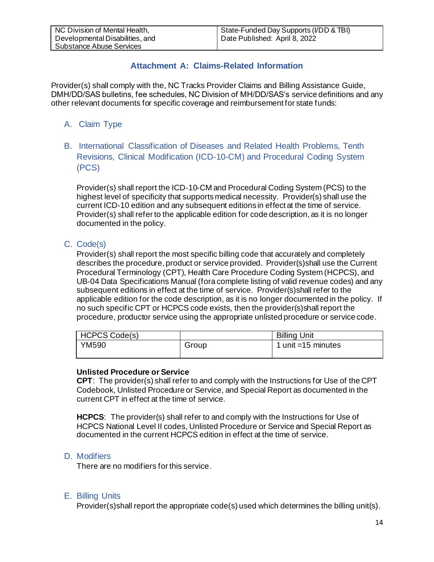## **Attachment A: Claims-Related Information**

Provider(s) shall comply with the, NC Tracks Provider Claims and Billing Assistance Guide, DMH/DD/SAS bulletins, fee schedules, NC Division of MH/DD/SAS's service definitions and any other relevant documents for specific coverage and reimbursement for state funds:

- <span id="page-13-0"></span>A. Claim Type
- <span id="page-13-1"></span>B. International Classification of Diseases and Related Health Problems, Tenth Revisions, Clinical Modification (ICD-10-CM) and Procedural Coding System (PCS)

Provider(s) shall report the ICD-10-CM and Procedural Coding System (PCS) to the highest level of specificity that supports medical necessity. Provider(s) shall use the current ICD-10 edition and any subsequent editions in effect at the time of service. Provider(s) shall refer to the applicable edition for code description, as it is no longer documented in the policy.

## <span id="page-13-2"></span>C. Code(s)

Provider(s) shall report the most specific billing code that accurately and completely describes the procedure, product or service provided. Provider(s)shall use the Current Procedural Terminology (CPT), Health Care Procedure Coding System (HCPCS), and UB-04 Data Specifications Manual (fora complete listing of valid revenue codes) and any subsequent editions in effect at the time of service. Provider(s)shall refer to the applicable edition for the code description, as it is no longer documented in the policy. If no such specific CPT or HCPCS code exists, then the provider(s)shall report the procedure, productor service using the appropriate unlisted procedure or service code.

| <b>HCPCS Code(s)</b> |       | <b>Billing Unit</b>   |
|----------------------|-------|-----------------------|
| YM590                | Group | 1 unit = $15$ minutes |
|                      |       |                       |

#### **Unlisted Procedure or Service**

**CPT**: The provider(s) shall refer to and comply with the Instructions for Use of the CPT Codebook, Unlisted Procedure or Service, and Special Report as documented in the current CPT in effect at the time of service.

**HCPCS**: The provider(s) shall refer to and comply with the Instructions for Use of HCPCS National Level II codes, Unlisted Procedure or Service and Special Report as documented in the current HCPCS edition in effect at the time of service.

#### <span id="page-13-3"></span>D. Modifiers

There are no modifiers for this service.

#### <span id="page-13-4"></span>E. Billing Units

Provider(s)shall report the appropriate code(s) used which determines the billing unit(s).